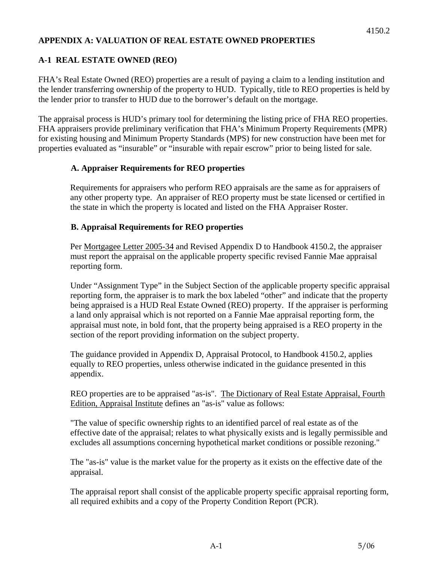#### **APPENDIX A: VALUATION OF REAL ESTATE OWNED PROPERTIES**

### **A-1 REAL ESTATE OWNED (REO)**

FHA's Real Estate Owned (REO) properties are a result of paying a claim to a lending institution and the lender transferring ownership of the property to HUD. Typically, title to REO properties is held by the lender prior to transfer to HUD due to the borrower's default on the mortgage.

The appraisal process is HUD's primary tool for determining the listing price of FHA REO properties. FHA appraisers provide preliminary verification that FHA's Minimum Property Requirements (MPR) for existing housing and Minimum Property Standards (MPS) for new construction have been met for properties evaluated as "insurable" or "insurable with repair escrow" prior to being listed for sale.

#### **A. Appraiser Requirements for REO properties**

Requirements for appraisers who perform REO appraisals are the same as for appraisers of any other property type. An appraiser of REO property must be state licensed or certified in the state in which the property is located and listed on the FHA Appraiser Roster.

#### **B. Appraisal Requirements for REO properties**

Per Mortgagee Letter 2005-34 and Revised Appendix D to Handbook 4150.2, the appraiser must report the appraisal on the applicable property specific revised Fannie Mae appraisal reporting form.

Under "Assignment Type" in the Subject Section of the applicable property specific appraisal reporting form, the appraiser is to mark the box labeled "other" and indicate that the property being appraised is a HUD Real Estate Owned (REO) property. If the appraiser is performing a land only appraisal which is not reported on a Fannie Mae appraisal reporting form, the appraisal must note, in bold font, that the property being appraised is a REO property in the section of the report providing information on the subject property.

The guidance provided in Appendix D, Appraisal Protocol, to Handbook 4150.2, applies equally to REO properties, unless otherwise indicated in the guidance presented in this appendix.

REO properties are to be appraised "as-is". The Dictionary of Real Estate Appraisal, Fourth Edition, Appraisal Institute defines an "as-is" value as follows:

"The value of specific ownership rights to an identified parcel of real estate as of the effective date of the appraisal; relates to what physically exists and is legally permissible and excludes all assumptions concerning hypothetical market conditions or possible rezoning."

The "as-is" value is the market value for the property as it exists on the effective date of the appraisal.

The appraisal report shall consist of the applicable property specific appraisal reporting form, all required exhibits and a copy of the Property Condition Report (PCR).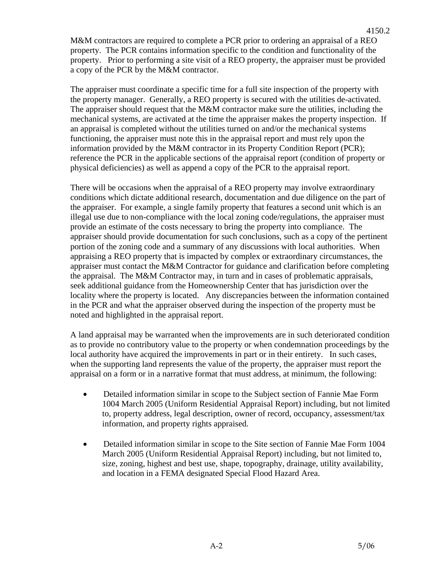M&M contractors are required to complete a PCR prior to ordering an appraisal of a REO property. The PCR contains information specific to the condition and functionality of the property. Prior to performing a site visit of a REO property, the appraiser must be provided a copy of the PCR by the M&M contractor.

4150.2

The appraiser must coordinate a specific time for a full site inspection of the property with the property manager. Generally, a REO property is secured with the utilities de-activated. The appraiser should request that the M&M contractor make sure the utilities, including the mechanical systems, are activated at the time the appraiser makes the property inspection. If an appraisal is completed without the utilities turned on and/or the mechanical systems functioning, the appraiser must note this in the appraisal report and must rely upon the information provided by the M&M contractor in its Property Condition Report (PCR); reference the PCR in the applicable sections of the appraisal report (condition of property or physical deficiencies) as well as append a copy of the PCR to the appraisal report.

There will be occasions when the appraisal of a REO property may involve extraordinary conditions which dictate additional research, documentation and due diligence on the part of the appraiser. For example, a single family property that features a second unit which is an illegal use due to non-compliance with the local zoning code/regulations, the appraiser must provide an estimate of the costs necessary to bring the property into compliance. The appraiser should provide documentation for such conclusions, such as a copy of the pertinent portion of the zoning code and a summary of any discussions with local authorities. When appraising a REO property that is impacted by complex or extraordinary circumstances, the appraiser must contact the M&M Contractor for guidance and clarification before completing the appraisal. The M&M Contractor may, in turn and in cases of problematic appraisals, seek additional guidance from the Homeownership Center that has jurisdiction over the locality where the property is located.Any discrepancies between the information contained in the PCR and what the appraiser observed during the inspection of the property must be noted and highlighted in the appraisal report.

A land appraisal may be warranted when the improvements are in such deteriorated condition as to provide no contributory value to the property or when condemnation proceedings by the local authority have acquired the improvements in part or in their entirety. In such cases, when the supporting land represents the value of the property, the appraiser must report the appraisal on a form or in a narrative format that must address, at minimum, the following:

- Detailed information similar in scope to the Subject section of Fannie Mae Form 1004 March 2005 (Uniform Residential Appraisal Report) including, but not limited to, property address, legal description, owner of record, occupancy, assessment/tax information, and property rights appraised.
- Detailed information similar in scope to the Site section of Fannie Mae Form 1004 March 2005 (Uniform Residential Appraisal Report) including, but not limited to, size, zoning, highest and best use, shape, topography, drainage, utility availability, and location in a FEMA designated Special Flood Hazard Area.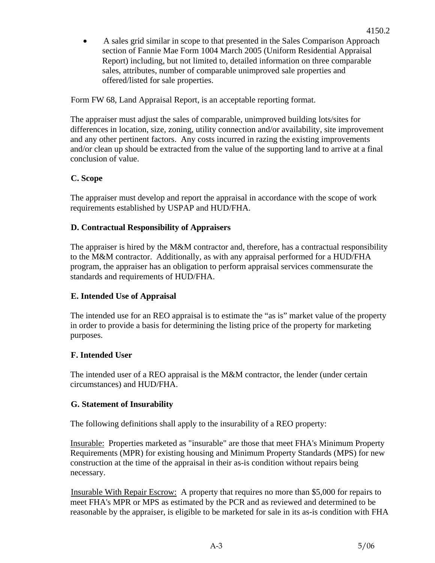• A sales grid similar in scope to that presented in the Sales Comparison Approach section of Fannie Mae Form 1004 March 2005 (Uniform Residential Appraisal Report) including, but not limited to, detailed information on three comparable sales, attributes, number of comparable unimproved sale properties and offered/listed for sale properties.

Form FW 68, Land Appraisal Report, is an acceptable reporting format.

The appraiser must adjust the sales of comparable, unimproved building lots/sites for differences in location, size, zoning, utility connection and/or availability, site improvement and any other pertinent factors. Any costs incurred in razing the existing improvements and/or clean up should be extracted from the value of the supporting land to arrive at a final conclusion of value.

## **C. Scope**

The appraiser must develop and report the appraisal in accordance with the scope of work requirements established by USPAP and HUD/FHA.

## **D. Contractual Responsibility of Appraisers**

The appraiser is hired by the M&M contractor and, therefore, has a contractual responsibility to the M&M contractor. Additionally, as with any appraisal performed for a HUD/FHA program, the appraiser has an obligation to perform appraisal services commensurate the standards and requirements of HUD/FHA.

# **E. Intended Use of Appraisal**

The intended use for an REO appraisal is to estimate the "as is" market value of the property in order to provide a basis for determining the listing price of the property for marketing purposes.

### **F. Intended User**

The intended user of a REO appraisal is the M&M contractor, the lender (under certain circumstances) and HUD/FHA.

### **G. Statement of Insurability**

The following definitions shall apply to the insurability of a REO property:

Insurable: Properties marketed as "insurable" are those that meet FHA's Minimum Property Requirements (MPR) for existing housing and Minimum Property Standards (MPS) for new construction at the time of the appraisal in their as-is condition without repairs being necessary.

Insurable With Repair Escrow: A property that requires no more than \$5,000 for repairs to meet FHA's MPR or MPS as estimated by the PCR and as reviewed and determined to be reasonable by the appraiser, is eligible to be marketed for sale in its as-is condition with FHA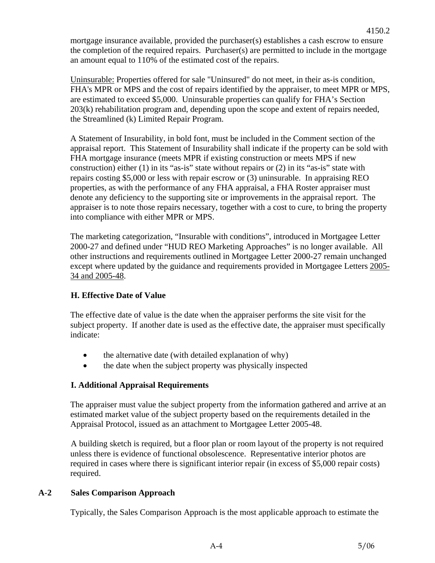mortgage insurance available, provided the purchaser(s) establishes a cash escrow to ensure the completion of the required repairs. Purchaser(s) are permitted to include in the mortgage an amount equal to 110% of the estimated cost of the repairs.

Uninsurable: Properties offered for sale "Uninsured" do not meet, in their as-is condition, FHA's MPR or MPS and the cost of repairs identified by the appraiser, to meet MPR or MPS, are estimated to exceed \$5,000. Uninsurable properties can qualify for FHA's Section 203(k) rehabilitation program and, depending upon the scope and extent of repairs needed, the Streamlined (k) Limited Repair Program.

A Statement of Insurability, in bold font, must be included in the Comment section of the appraisal report. This Statement of Insurability shall indicate if the property can be sold with FHA mortgage insurance (meets MPR if existing construction or meets MPS if new construction) either (1) in its "as-is" state without repairs or (2) in its "as-is" state with repairs costing \$5,000 or less with repair escrow or (3) uninsurable. In appraising REO properties, as with the performance of any FHA appraisal, a FHA Roster appraiser must denote any deficiency to the supporting site or improvements in the appraisal report. The appraiser is to note those repairs necessary, together with a cost to cure, to bring the property into compliance with either MPR or MPS.

The marketing categorization, "Insurable with conditions", introduced in Mortgagee Letter 2000-27 and defined under "HUD REO Marketing Approaches" is no longer available. All other instructions and requirements outlined in Mortgagee Letter 2000-27 remain unchanged except where updated by the guidance and requirements provided in Mortgagee Letters 2005- 34 and 2005-48.

# **H. Effective Date of Value**

The effective date of value is the date when the appraiser performs the site visit for the subject property. If another date is used as the effective date, the appraiser must specifically indicate:

- the alternative date (with detailed explanation of why)
- the date when the subject property was physically inspected

# **I. Additional Appraisal Requirements**

The appraiser must value the subject property from the information gathered and arrive at an estimated market value of the subject property based on the requirements detailed in the Appraisal Protocol, issued as an attachment to Mortgagee Letter 2005-48.

A building sketch is required, but a floor plan or room layout of the property is not required unless there is evidence of functional obsolescence. Representative interior photos are required in cases where there is significant interior repair (in excess of \$5,000 repair costs) required.

### **A-2 Sales Comparison Approach**

Typically, the Sales Comparison Approach is the most applicable approach to estimate the